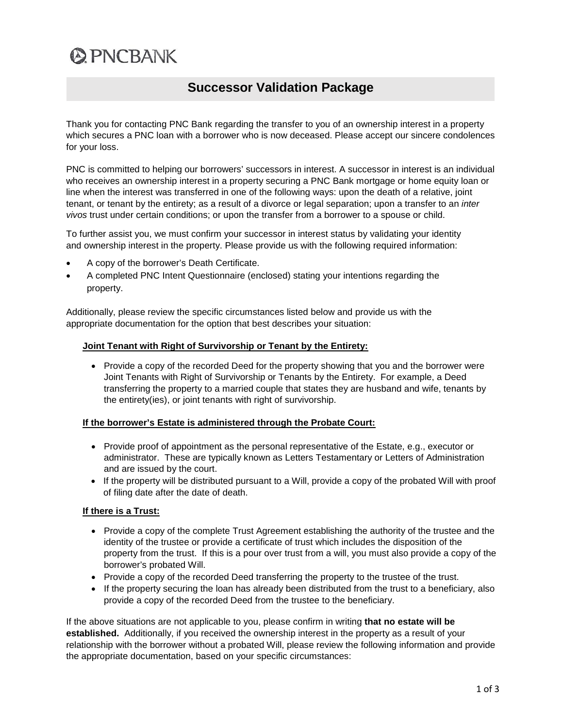# **@PNCBANK**

# **Successor Validation Package**

Thank you for contacting PNC Bank regarding the transfer to you of an ownership interest in a property which secures a PNC loan with a borrower who is now deceased. Please accept our sincere condolences for your loss.

PNC is committed to helping our borrowers' successors in interest. A successor in interest is an individual who receives an ownership interest in a property securing a PNC Bank mortgage or home equity loan or line when the interest was transferred in one of the following ways: upon the death of a relative, joint tenant, or tenant by the entirety; as a result of a divorce or legal separation; upon a transfer to an *inter vivos* trust under certain conditions; or upon the transfer from a borrower to a spouse or child.

To further assist you, we must confirm your successor in interest status by validating your identity and ownership interest in the property. Please provide us with the following required information:

- A copy of the borrower's Death Certificate.
- A completed PNC Intent Questionnaire (enclosed) stating your intentions regarding the property.

Additionally, please review the specific circumstances listed below and provide us with the appropriate documentation for the option that best describes your situation:

## **Joint Tenant with Right of Survivorship or Tenant by the Entirety:**

• Provide a copy of the recorded Deed for the property showing that you and the borrower were Joint Tenants with Right of Survivorship or Tenants by the Entirety. For example, a Deed transferring the property to a married couple that states they are husband and wife, tenants by the entirety(ies), or joint tenants with right of survivorship.

# **If the borrower's Estate is administered through the Probate Court:**

- Provide proof of appointment as the personal representative of the Estate, e.g., executor or administrator. These are typically known as Letters Testamentary or Letters of Administration and are issued by the court.
- If the property will be distributed pursuant to a Will, provide a copy of the probated Will with proof of filing date after the date of death.

# **If there is a Trust:**

- Provide a copy of the complete Trust Agreement establishing the authority of the trustee and the identity of the trustee or provide a certificate of trust which includes the disposition of the property from the trust. If this is a pour over trust from a will, you must also provide a copy of the borrower's probated Will.
- Provide a copy of the recorded Deed transferring the property to the trustee of the trust.
- If the property securing the loan has already been distributed from the trust to a beneficiary, also provide a copy of the recorded Deed from the trustee to the beneficiary.

If the above situations are not applicable to you, please confirm in writing **that no estate will be established.** Additionally, if you received the ownership interest in the property as a result of your relationship with the borrower without a probated Will, please review the following information and provide the appropriate documentation, based on your specific circumstances: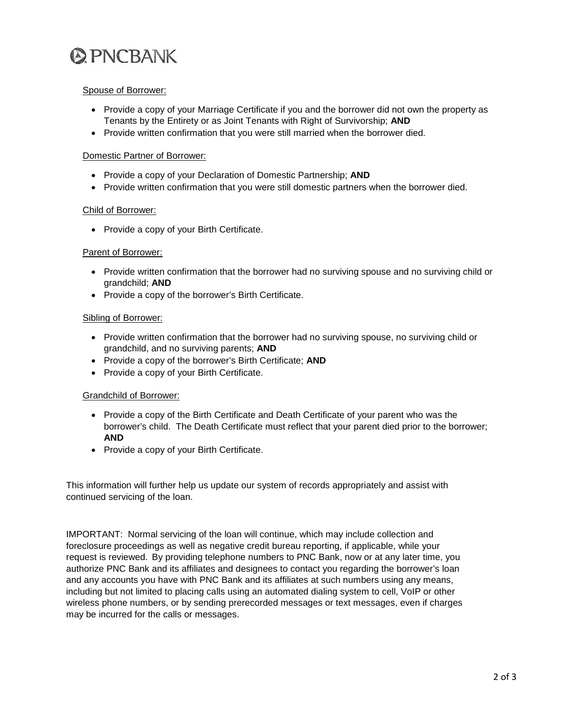

#### Spouse of Borrower:

- Provide a copy of your Marriage Certificate if you and the borrower did not own the property as Tenants by the Entirety or as Joint Tenants with Right of Survivorship; **AND**
- Provide written confirmation that you were still married when the borrower died.

#### Domestic Partner of Borrower:

- Provide a copy of your Declaration of Domestic Partnership; **AND**
- Provide written confirmation that you were still domestic partners when the borrower died.

#### Child of Borrower:

• Provide a copy of your Birth Certificate.

## Parent of Borrower:

- Provide written confirmation that the borrower had no surviving spouse and no surviving child or grandchild; **AND**
- Provide a copy of the borrower's Birth Certificate.

#### Sibling of Borrower:

- Provide written confirmation that the borrower had no surviving spouse, no surviving child or grandchild, and no surviving parents; **AND**
- Provide a copy of the borrower's Birth Certificate; **AND**
- Provide a copy of your Birth Certificate.

#### Grandchild of Borrower:

- Provide a copy of the Birth Certificate and Death Certificate of your parent who was the borrower's child. The Death Certificate must reflect that your parent died prior to the borrower; **AND**
- Provide a copy of your Birth Certificate.

This information will further help us update our system of records appropriately and assist with continued servicing of the loan.

IMPORTANT: Normal servicing of the loan will continue, which may include collection and foreclosure proceedings as well as negative credit bureau reporting, if applicable, while your request is reviewed. By providing telephone numbers to PNC Bank, now or at any later time, you authorize PNC Bank and its affiliates and designees to contact you regarding the borrower's loan and any accounts you have with PNC Bank and its affiliates at such numbers using any means, including but not limited to placing calls using an automated dialing system to cell, VoIP or other wireless phone numbers, or by sending prerecorded messages or text messages, even if charges may be incurred for the calls or messages.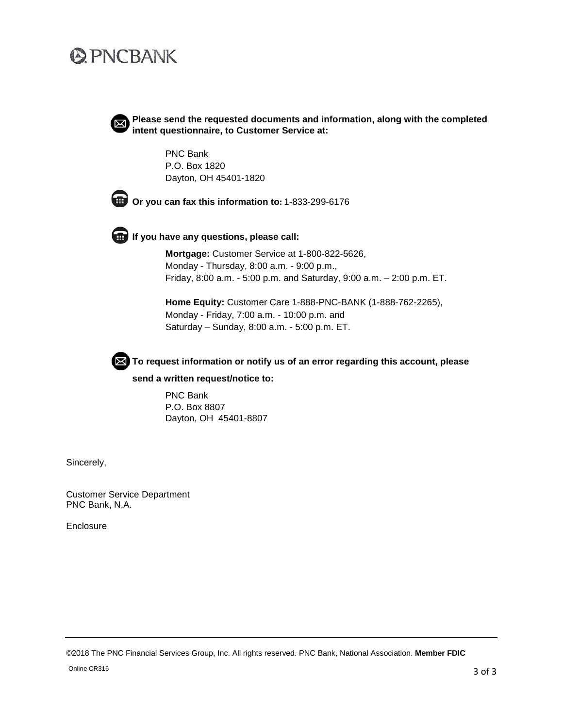# **@PNCBANK**



**Please send the requested documents and information, along with the completed intent questionnaire, to Customer Service at:** 

PNC Bank P.O. Box 1820 Dayton, OH 45401-1820



**Or you can fax this information to:** 1-833-299-6176



**If you have any questions, please call:**

**Mortgage:** Customer Service at 1-800-822-5626, Monday - Thursday, 8:00 a.m. - 9:00 p.m., Friday, 8:00 a.m. - 5:00 p.m. and Saturday, 9:00 a.m. – 2:00 p.m. ET.

**Home Equity:** Customer Care 1-888-PNC-BANK (1-888-762-2265), Monday - Friday, 7:00 a.m. - 10:00 p.m. and Saturday – Sunday, 8:00 a.m. - 5:00 p.m. ET.



**To request information or notify us of an error regarding this account, please**

#### **send a written request/notice to:**

PNC Bank P.O. Box 8807 Dayton, OH 45401-8807

Sincerely,

Customer Service Department PNC Bank, N.A.

**Enclosure** 

©2018 The PNC Financial Services Group, Inc. All rights reserved. PNC Bank, National Association. **Member FDIC**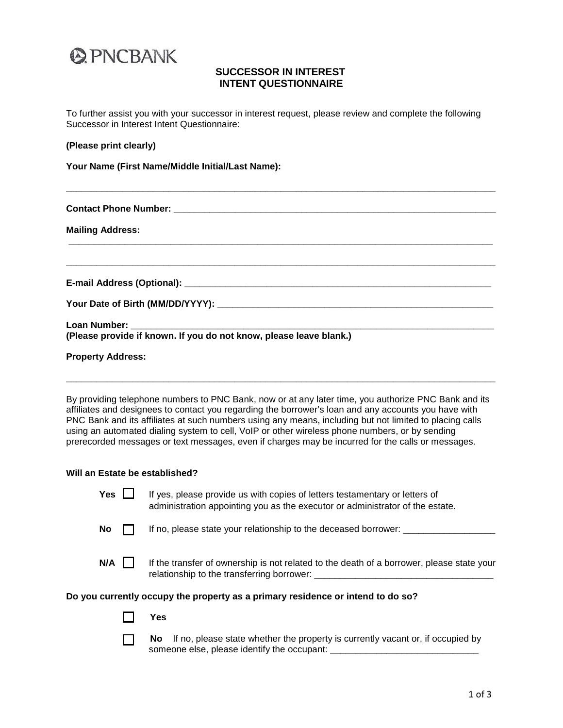

# **SUCCESSOR IN INTEREST INTENT QUESTIONNAIRE**

To further assist you with your successor in interest request, please review and complete the following Successor in Interest Intent Questionnaire:

#### **(Please print clearly)**

**Your Name (First Name/Middle Initial/Last Name):**

| <b>Mailing Address:</b>                                            |  |  |  |  |  |
|--------------------------------------------------------------------|--|--|--|--|--|
|                                                                    |  |  |  |  |  |
|                                                                    |  |  |  |  |  |
|                                                                    |  |  |  |  |  |
| (Please provide if known. If you do not know, please leave blank.) |  |  |  |  |  |
| <b>Property Address:</b>                                           |  |  |  |  |  |

**\_\_\_\_\_\_\_\_\_\_\_\_\_\_\_\_\_\_\_\_\_\_\_\_\_\_\_\_\_\_\_\_\_\_\_\_\_\_\_\_\_\_\_\_\_\_\_\_\_\_\_\_\_\_\_\_\_\_\_\_\_\_\_\_\_\_\_\_\_\_\_\_\_\_\_\_\_\_\_\_\_\_\_\_**

By providing telephone numbers to PNC Bank, now or at any later time, you authorize PNC Bank and its affiliates and designees to contact you regarding the borrower's loan and any accounts you have with PNC Bank and its affiliates at such numbers using any means, including but not limited to placing calls using an automated dialing system to cell, VoIP or other wireless phone numbers, or by sending prerecorded messages or text messages, even if charges may be incurred for the calls or messages.

**\_\_\_\_\_\_\_\_\_\_\_\_\_\_\_\_\_\_\_\_\_\_\_\_\_\_\_\_\_\_\_\_\_\_\_\_\_\_\_\_\_\_\_\_\_\_\_\_\_\_\_\_\_\_\_\_\_\_\_\_\_\_\_\_\_\_\_\_\_\_\_\_\_\_\_\_\_\_\_\_\_\_\_\_**

#### **Will an Estate be established?**

| Yes | If yes, please provide us with copies of letters testamentary or letters of<br>administration appointing you as the executor or administrator of the estate. |
|-----|--------------------------------------------------------------------------------------------------------------------------------------------------------------|
| No  | If no, please state your relationship to the deceased borrower:                                                                                              |
| N/A | If the transfer of ownership is not related to the death of a borrower, please state your<br>relationship to the transferring borrower:                      |
|     | Do you currently occupy the property as a primary residence or intend to do so?                                                                              |
|     | res                                                                                                                                                          |

**No** If no, please state whether the property is currently vacant or, if occupied by someone else, please identify the occupant: \_\_\_\_\_\_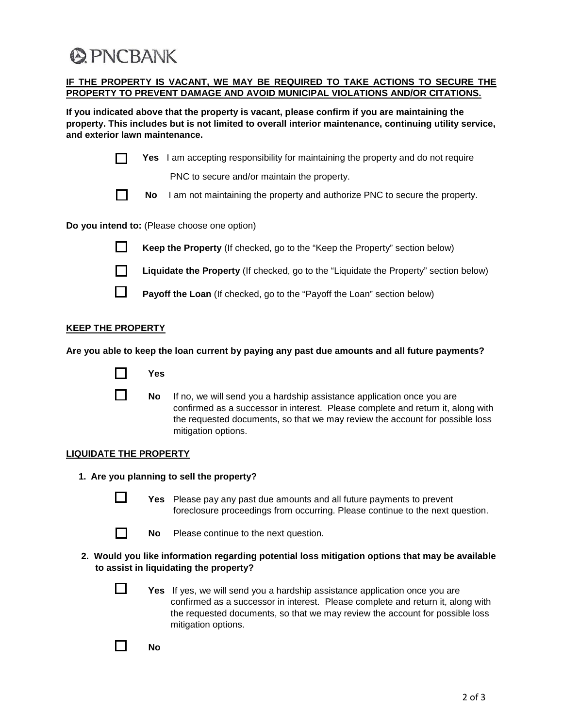# **@PNCBANK**

## **IF THE PROPERTY IS VACANT, WE MAY BE REQUIRED TO TAKE ACTIONS TO SECURE THE PROPERTY TO PREVENT DAMAGE AND AVOID MUNICIPAL VIOLATIONS AND/OR CITATIONS.**

**If you indicated above that the property is vacant, please confirm if you are maintaining the property. This includes but is not limited to overall interior maintenance, continuing utility service, and exterior lawn maintenance.**

|  |  | Yes I am accepting responsibility for maintaining the property and do not require |
|--|--|-----------------------------------------------------------------------------------|
|--|--|-----------------------------------------------------------------------------------|

PNC to secure and/or maintain the property.



**No** I am not maintaining the property and authorize PNC to secure the property.

**Do you intend to:** (Please choose one option)



**Keep the Property** (If checked, go to the "Keep the Property" section below)



П

**Liquidate the Property** (If checked, go to the "Liquidate the Property" section below)

**Payoff the Loan** (If checked, go to the "Payoff the Loan" section below)

# **KEEP THE PROPERTY**

**Are you able to keep the loan current by paying any past due amounts and all future payments?**



**No** If no, we will send you a hardship assistance application once you are confirmed as a successor in interest. Please complete and return it, along with the requested documents, so that we may review the account for possible loss mitigation options.

# **LIQUIDATE THE PROPERTY**

- **1. Are you planning to sell the property?**
	-

**I** Yes Please pay any past due amounts and all future payments to prevent foreclosure proceedings from occurring. Please continue to the next question.



**No** Please continue to the next question.

## **2. Would you like information regarding potential loss mitigation options that may be available to assist in liquidating the property?**

**T** Yes If yes, we will send you a hardship assistance application once you are confirmed as a successor in interest. Please complete and return it, along with the requested documents, so that we may review the account for possible loss mitigation options.

 $\Box$  No